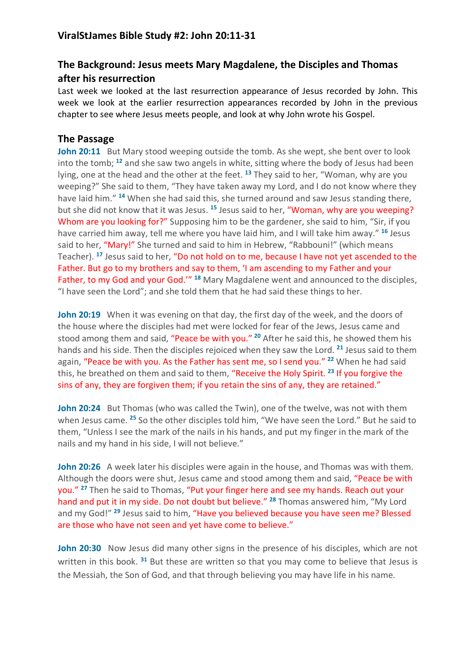## **The Background: Jesus meets Mary Magdalene, the Disciples and Thomas after his resurrection**

Last week we looked at the last resurrection appearance of Jesus recorded by John. This week we look at the earlier resurrection appearances recorded by John in the previous chapter to see where Jesus meets people, and look at why John wrote his Gospel.

## **The Passage**

**John 20:11** But Mary stood weeping outside the tomb. As she wept, she bent over to look into the tomb; **<sup>12</sup>** and she saw two angels in white, sitting where the body of Jesus had been lying, one at the head and the other at the feet. **<sup>13</sup>** They said to her, "Woman, why are you weeping?" She said to them, "They have taken away my Lord, and I do not know where they have laid him." **<sup>14</sup>** When she had said this, she turned around and saw Jesus standing there, but she did not know that it was Jesus. **<sup>15</sup>** Jesus said to her, "Woman, why are you weeping? Whom are you looking for?" Supposing him to be the gardener, she said to him, "Sir, if you have carried him away, tell me where you have laid him, and I will take him away." **<sup>16</sup>** Jesus said to her, "Mary!" She turned and said to him in Hebrew, "Rabbouni!" (which means Teacher). **<sup>17</sup>** Jesus said to her, "Do not hold on to me, because I have not yet ascended to the Father. But go to my brothers and say to them, 'I am ascending to my Father and your Father, to my God and your God.'" **<sup>18</sup>** Mary Magdalene went and announced to the disciples, "I have seen the Lord"; and she told them that he had said these things to her.

**John 20:19** When it was evening on that day, the first day of the week, and the doors of the house where the disciples had met were locked for fear of the Jews, Jesus came and stood among them and said, "Peace be with you." **<sup>20</sup>** After he said this, he showed them his hands and his side. Then the disciples rejoiced when they saw the Lord. **<sup>21</sup>** Jesus said to them again, "Peace be with you. As the Father has sent me, so I send you." **<sup>22</sup>** When he had said this, he breathed on them and said to them, "Receive the Holy Spirit. **<sup>23</sup>** If you forgive the sins of any, they are forgiven them; if you retain the sins of any, they are retained."

**John 20:24** But Thomas (who was called the Twin), one of the twelve, was not with them when Jesus came. **<sup>25</sup>** So the other disciples told him, "We have seen the Lord." But he said to them, "Unless I see the mark of the nails in his hands, and put my finger in the mark of the nails and my hand in his side, I will not believe."

**John 20:26** A week later his disciples were again in the house, and Thomas was with them. Although the doors were shut, Jesus came and stood among them and said, "Peace be with you." **<sup>27</sup>** Then he said to Thomas, "Put your finger here and see my hands. Reach out your hand and put it in my side. Do not doubt but believe." **<sup>28</sup>** Thomas answered him, "My Lord and my God!" **<sup>29</sup>** Jesus said to him, "Have you believed because you have seen me? Blessed are those who have not seen and yet have come to believe."

**John 20:30** Now Jesus did many other signs in the presence of his disciples, which are not written in this book. **<sup>31</sup>** But these are written so that you may come to believe that Jesus is the Messiah, the Son of God, and that through believing you may have life in his name.